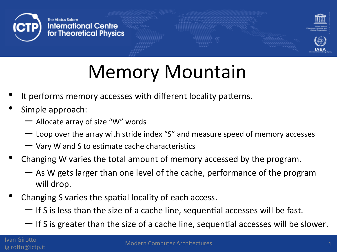



# Memory Mountain

- It performs memory accesses with different locality patterns.
- Simple approach:
	- $-$  Allocate array of size "W" words
	- Loop over the array with stride index "S" and measure speed of memory accesses
	- $-$  Vary W and S to estimate cache characteristics
- Changing W varies the total amount of memory accessed by the program.
	- $-$  As W gets larger than one level of the cache, performance of the program will drop.
- Changing S varies the spatial locality of each access.
	- $-$  If S is less than the size of a cache line, sequential accesses will be fast.
	- If S is greater than the size of a cache line, sequential accesses will be slower.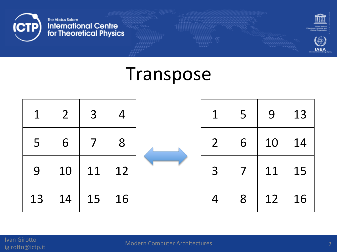



**IAEA** 

#### Transpose

| $\mathbf{1}$ | $2\overline{ }$ | $\overline{\mathbf{3}}$ | $\overline{4}$ | 1              | 5 <sup>5</sup> | 9  | 13 |
|--------------|-----------------|-------------------------|----------------|----------------|----------------|----|----|
| 5            | 6               | $\overline{7}$          | 8              | 2 <sup>1</sup> | 6              | 10 | 14 |
| 9            | 10              | 11                      | 12             | $\overline{3}$ | $\overline{7}$ | 11 | 15 |
| 13           | 14              | 15                      | 16             |                | 8              | 12 | 16 |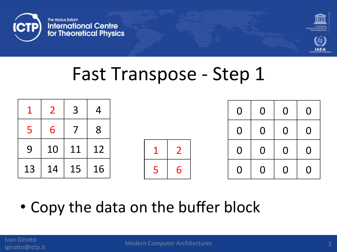



|    | $\mathcal{P}$   | $\overline{3}$ | $\overline{4}$ |  |                        | $\overline{0}$ | $\overline{O}$ | $\overline{0}$ | $\Omega$ |
|----|-----------------|----------------|----------------|--|------------------------|----------------|----------------|----------------|----------|
|    |                 |                | 8              |  |                        | $\overline{0}$ | $\mathbf 0$    | $\overline{0}$ | $\Omega$ |
| 9  | 10 <sup>1</sup> | 11   12        |                |  | $\mathbf{\mathcal{D}}$ | 0              | $\mathbf{O}$   | $\overline{0}$ | $\Omega$ |
| 13 | 14              | 15   16        |                |  | 6                      | 0              |                | $\overline{0}$ | $\Omega$ |

• Copy the data on the buffer block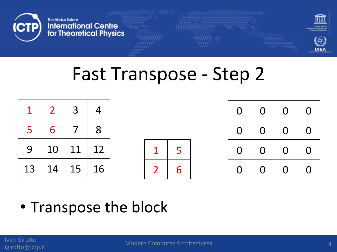



|    |                 | $\mathcal{R}$ | $\boldsymbol{\mathcal{A}}$ |  |   | $\Omega$ | $\overline{0}$ | $\overline{0}$ |  |
|----|-----------------|---------------|----------------------------|--|---|----------|----------------|----------------|--|
|    |                 |               | - 8                        |  |   | $\Omega$ | $\overline{0}$ | $\overline{0}$ |  |
| 9  | 10 <sup>1</sup> | 11   12       |                            |  |   | $\Omega$ | $\overline{0}$ | $\overline{O}$ |  |
| 13 |                 | 14   15   16  |                            |  | 6 | $\Omega$ | $\mathbf{O}$   | $\mathbf 0$    |  |

• Transpose the block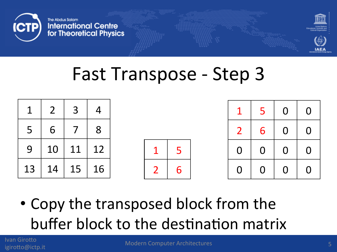



|                 | 2 <sup>7</sup> | 3 <sup>1</sup> | $\overline{4}$ |  |   | $\mathbf 1$    | 5 <sub>1</sub> | $\overline{0}$ | $\Omega$       |
|-----------------|----------------|----------------|----------------|--|---|----------------|----------------|----------------|----------------|
| 5               | 6              | 7 <sup>1</sup> | 8              |  |   | $\overline{2}$ | 6              | $\overline{0}$ |                |
| 9               |                | 10   11   12   |                |  |   | $\overline{0}$ | $\overline{0}$ | $\overline{0}$ |                |
| 13 <sup>1</sup> |                | 14   15   16   |                |  | 6 | $\mathbf 0$    | $\overline{0}$ | $\overline{0}$ | $\overline{O}$ |

• Copy the transposed block from the buffer block to the destination matrix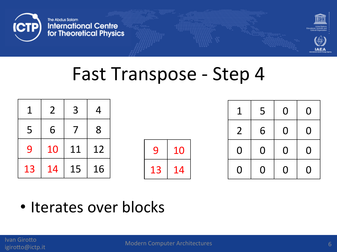



| $\mathbf 1$ | $\overline{2}$  | $\mathbf{3}$ | $\boldsymbol{\mathcal{A}}$ |              |    |  | $\mathbf 1$    | 5 <sub>5</sub> | $\overline{0}$ | $\overline{0}$ |
|-------------|-----------------|--------------|----------------------------|--------------|----|--|----------------|----------------|----------------|----------------|
| 5           | 6               |              | 8                          |              |    |  | $\overline{2}$ | 6              | $\overline{0}$ | $\Omega$       |
| 9           | 10 <sup>1</sup> | 11   12      |                            | $\mathbf{Q}$ | 10 |  | $\Omega$       | $\mathbf{O}$   | $\Omega$       |                |
| 13          | 14              | $15 \mid 16$ |                            | 13           | 14 |  | $\Omega$       | $\mathbf{0}$   | $\mathbf 0$    | $\overline{0}$ |

• Iterates over blocks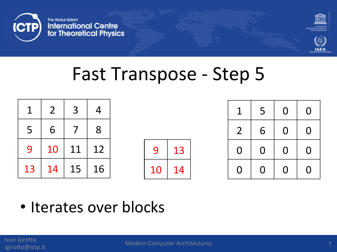



| $\sim$ 1       |   | $2 \mid 3 \mid$ | $\overline{4}$ |              |     | $\mathbf 1$    | 5 <sup>1</sup> | $\overline{0}$ | $\overline{0}$ |
|----------------|---|-----------------|----------------|--------------|-----|----------------|----------------|----------------|----------------|
| 5 <sub>1</sub> | 6 |                 | 8              |              |     | $\overline{2}$ | 6              | $\overline{0}$ |                |
| 9              |   | 10   11   12    |                | $\mathbf{Q}$ | 13  | $\Omega$       | $\mathbf 0$    | $\overline{0}$ | $\overline{0}$ |
| 13             |   | 14   15   16    |                | 10           | -14 | $\overline{O}$ | $\overline{0}$ | $\overline{0}$ |                |

• Iterates over blocks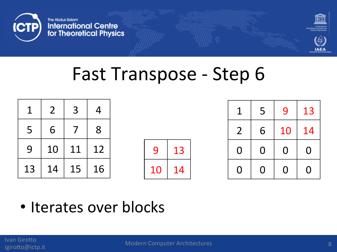



| 1  |   | $2 \mid 3$   |           |              |     | $\mathbf 1$    |                | 5   9          | 13                      |
|----|---|--------------|-----------|--------------|-----|----------------|----------------|----------------|-------------------------|
| 5  | 6 |              | $\vert$ 8 |              |     | $\overline{2}$ | 6 <sup>1</sup> | 10             | 14                      |
| 9  |   | 10   11   12 |           | $\mathbf{Q}$ | 13  | $\Omega$       | $\mathbf 0$    | $\overline{0}$ | $\overline{\mathbf{0}}$ |
| 13 |   | 14   15   16 |           | 10           | -14 | $\overline{0}$ | $\mathbf{0}$   | $\overline{0}$ | $\overline{\mathbf{0}}$ |

• Iterates over blocks